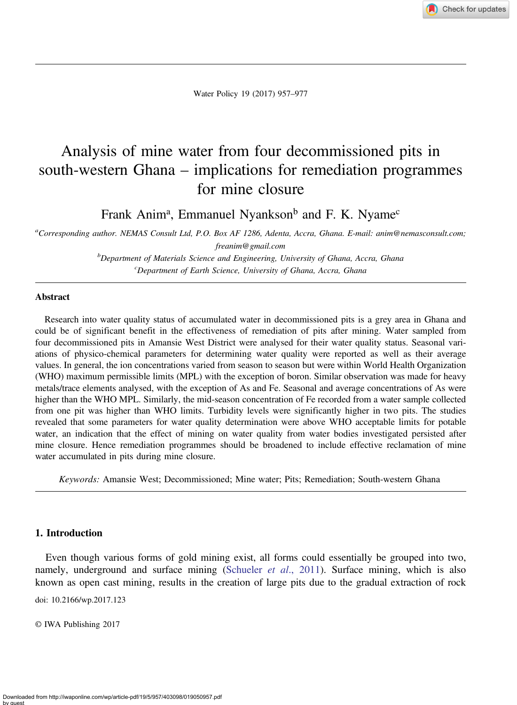

Water Policy 19 (2017) 957–977

# Analysis of mine water from four decommissioned pits in south-western Ghana – implications for remediation programmes for mine closure

Frank Anim<sup>a</sup>, Emmanuel Nyankson<sup>b</sup> and F. K. Nyame<sup>c</sup>

a Corresponding author. NEMAS Consult Ltd, P.O. Box AF 1286, Adenta, Accra, Ghana. E-mail: [anim@nemasconsult.com](mailto:anim@nemasconsult.com); [freanim@gmail.com](mailto:freanim@gmail.com)

> <sup>b</sup>Department of Materials Science and Engineering, University of Ghana, Accra, Ghana <sup>c</sup>Department of Earth Science, University of Ghana, Accra, Ghana

#### Abstract

Research into water quality status of accumulated water in decommissioned pits is a grey area in Ghana and could be of significant benefit in the effectiveness of remediation of pits after mining. Water sampled from four decommissioned pits in Amansie West District were analysed for their water quality status. Seasonal variations of physico-chemical parameters for determining water quality were reported as well as their average values. In general, the ion concentrations varied from season to season but were within World Health Organization (WHO) maximum permissible limits (MPL) with the exception of boron. Similar observation was made for heavy metals/trace elements analysed, with the exception of As and Fe. Seasonal and average concentrations of As were higher than the WHO MPL. Similarly, the mid-season concentration of Fe recorded from a water sample collected from one pit was higher than WHO limits. Turbidity levels were significantly higher in two pits. The studies revealed that some parameters for water quality determination were above WHO acceptable limits for potable water, an indication that the effect of mining on water quality from water bodies investigated persisted after mine closure. Hence remediation programmes should be broadened to include effective reclamation of mine water accumulated in pits during mine closure.

Keywords: Amansie West; Decommissioned; Mine water; Pits; Remediation; South-western Ghana

#### 1. Introduction

Even though various forms of gold mining exist, all forms could essentially be grouped into two, namely, underground and surface mining [\(Schueler](#page-19-0) *et al.*, 2011). Surface mining, which is also known as open cast mining, results in the creation of large pits due to the gradual extraction of rock

doi: 10.2166/wp.2017.123

© IWA Publishing 2017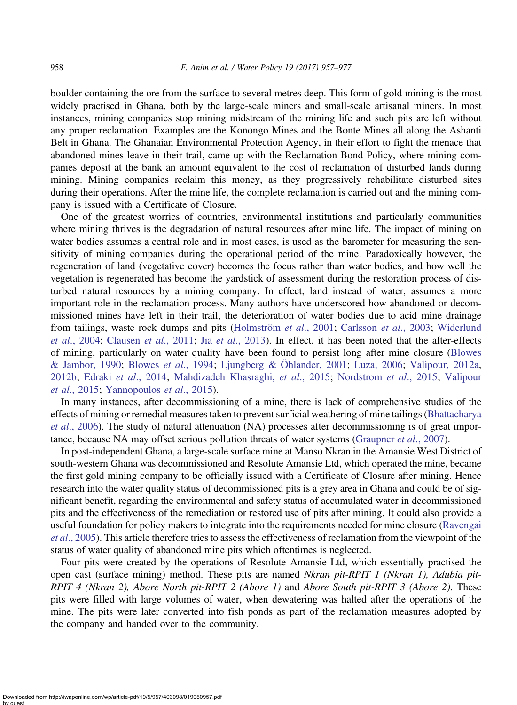boulder containing the ore from the surface to several metres deep. This form of gold mining is the most widely practised in Ghana, both by the large-scale miners and small-scale artisanal miners. In most instances, mining companies stop mining midstream of the mining life and such pits are left without any proper reclamation. Examples are the Konongo Mines and the Bonte Mines all along the Ashanti Belt in Ghana. The Ghanaian Environmental Protection Agency, in their effort to fight the menace that abandoned mines leave in their trail, came up with the Reclamation Bond Policy, where mining companies deposit at the bank an amount equivalent to the cost of reclamation of disturbed lands during mining. Mining companies reclaim this money, as they progressively rehabilitate disturbed sites during their operations. After the mine life, the complete reclamation is carried out and the mining company is issued with a Certificate of Closure.

One of the greatest worries of countries, environmental institutions and particularly communities where mining thrives is the degradation of natural resources after mine life. The impact of mining on water bodies assumes a central role and in most cases, is used as the barometer for measuring the sensitivity of mining companies during the operational period of the mine. Paradoxically however, the regeneration of land (vegetative cover) becomes the focus rather than water bodies, and how well the vegetation is regenerated has become the yardstick of assessment during the restoration process of disturbed natural resources by a mining company. In effect, land instead of water, assumes a more important role in the reclamation process. Many authors have underscored how abandoned or decommissioned mines have left in their trail, the deterioration of water bodies due to acid mine drainage from tailings, waste rock dumps and pits [\(Holmström](#page-19-0) et al., 2001; [Carlsson](#page-19-0) et al., 2003; [Widerlund](#page-20-0) et al[., 2004](#page-20-0); [Clausen](#page-19-0) et al., 2011; Jia et al[., 2013\)](#page-19-0). In effect, it has been noted that the after-effects of mining, particularly on water quality have been found to persist long after mine closure ([Blowes](#page-19-0) [& Jambor, 1990;](#page-19-0) [Blowes](#page-19-0) et al., 1994; [Ljungberg & Öhlander, 2001;](#page-19-0) [Luza, 2006](#page-19-0); [Valipour, 2012a,](#page-20-0) [2012b;](#page-20-0) Edraki et al[., 2014;](#page-19-0) [Mahdizadeh Khasraghi,](#page-19-0) et al., 2015; [Nordstrom](#page-19-0) et al., 2015; [Valipour](#page-20-0) et al[., 2015](#page-20-0); [Yannopoulos](#page-20-0) et al., 2015).

In many instances, after decommissioning of a mine, there is lack of comprehensive studies of the effects of mining or remedial measures taken to prevent surficial weathering of mine tailings [\(Bhattacharya](#page-19-0) et al[., 2006](#page-19-0)). The study of natural attenuation (NA) processes after decommissioning is of great impor-tance, because NA may offset serious pollution threats of water systems ([Graupner](#page-19-0) et al., 2007).

In post-independent Ghana, a large-scale surface mine at Manso Nkran in the Amansie West District of south-western Ghana was decommissioned and Resolute Amansie Ltd, which operated the mine, became the first gold mining company to be officially issued with a Certificate of Closure after mining. Hence research into the water quality status of decommissioned pits is a grey area in Ghana and could be of significant benefit, regarding the environmental and safety status of accumulated water in decommissioned pits and the effectiveness of the remediation or restored use of pits after mining. It could also provide a useful foundation for policy makers to integrate into the requirements needed for mine closure [\(Ravengai](#page-19-0) et al[., 2005](#page-19-0)). This article therefore tries to assess the effectiveness of reclamation from the viewpoint of the status of water quality of abandoned mine pits which oftentimes is neglected.

Four pits were created by the operations of Resolute Amansie Ltd, which essentially practised the open cast (surface mining) method. These pits are named Nkran pit-RPIT 1 (Nkran 1), Adubia pit-RPIT 4 (Nkran 2), Abore North pit-RPIT 2 (Abore 1) and Abore South pit-RPIT 3 (Abore 2). These pits were filled with large volumes of water, when dewatering was halted after the operations of the mine. The pits were later converted into fish ponds as part of the reclamation measures adopted by the company and handed over to the community.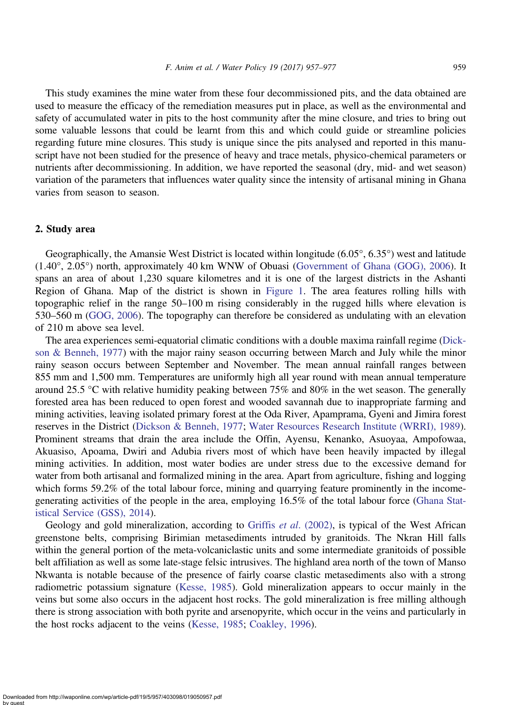This study examines the mine water from these four decommissioned pits, and the data obtained are used to measure the efficacy of the remediation measures put in place, as well as the environmental and safety of accumulated water in pits to the host community after the mine closure, and tries to bring out some valuable lessons that could be learnt from this and which could guide or streamline policies regarding future mine closures. This study is unique since the pits analysed and reported in this manuscript have not been studied for the presence of heavy and trace metals, physico-chemical parameters or nutrients after decommissioning. In addition, we have reported the seasonal (dry, mid- and wet season) variation of the parameters that influences water quality since the intensity of artisanal mining in Ghana varies from season to season.

#### 2. Study area

Geographically, the Amansie West District is located within longitude (6.05°, 6.35°) west and latitude (1.40°, 2.05°) north, approximately 40 km WNW of Obuasi [\(Government of Ghana \(GOG\), 2006](#page-19-0)). It spans an area of about 1,230 square kilometres and it is one of the largest districts in the Ashanti Region of Ghana. Map of the district is shown in [Figure 1.](#page-3-0) The area features rolling hills with topographic relief in the range 50–100 m rising considerably in the rugged hills where elevation is 530–560 m ([GOG, 2006](#page-19-0)). The topography can therefore be considered as undulating with an elevation of 210 m above sea level.

The area experiences semi-equatorial climatic conditions with a double maxima rainfall regime [\(Dick](#page-19-0)[son & Benneh, 1977](#page-19-0)) with the major rainy season occurring between March and July while the minor rainy season occurs between September and November. The mean annual rainfall ranges between 855 mm and 1,500 mm. Temperatures are uniformly high all year round with mean annual temperature around 25.5 °C with relative humidity peaking between 75% and 80% in the wet season. The generally forested area has been reduced to open forest and wooded savannah due to inappropriate farming and mining activities, leaving isolated primary forest at the Oda River, Apamprama, Gyeni and Jimira forest reserves in the District [\(Dickson & Benneh, 1977](#page-19-0); [Water Resources Research Institute \(WRRI\), 1989\)](#page-20-0). Prominent streams that drain the area include the Offin, Ayensu, Kenanko, Asuoyaa, Ampofowaa, Akuasiso, Apoama, Dwiri and Adubia rivers most of which have been heavily impacted by illegal mining activities. In addition, most water bodies are under stress due to the excessive demand for water from both artisanal and formalized mining in the area. Apart from agriculture, fishing and logging which forms 59.2% of the total labour force, mining and quarrying feature prominently in the incomegenerating activities of the people in the area, employing 16.5% of the total labour force ([Ghana Stat](#page-19-0)[istical Service \(GSS\), 2014](#page-19-0)).

Geology and gold mineralization, according to Griffis *et al.* (2002), is typical of the West African greenstone belts, comprising Birimian metasediments intruded by granitoids. The Nkran Hill falls within the general portion of the meta-volcaniclastic units and some intermediate granitoids of possible belt affiliation as well as some late-stage felsic intrusives. The highland area north of the town of Manso Nkwanta is notable because of the presence of fairly coarse clastic metasediments also with a strong radiometric potassium signature ([Kesse, 1985](#page-19-0)). Gold mineralization appears to occur mainly in the veins but some also occurs in the adjacent host rocks. The gold mineralization is free milling although there is strong association with both pyrite and arsenopyrite, which occur in the veins and particularly in the host rocks adjacent to the veins ([Kesse, 1985](#page-19-0); [Coakley, 1996](#page-19-0)).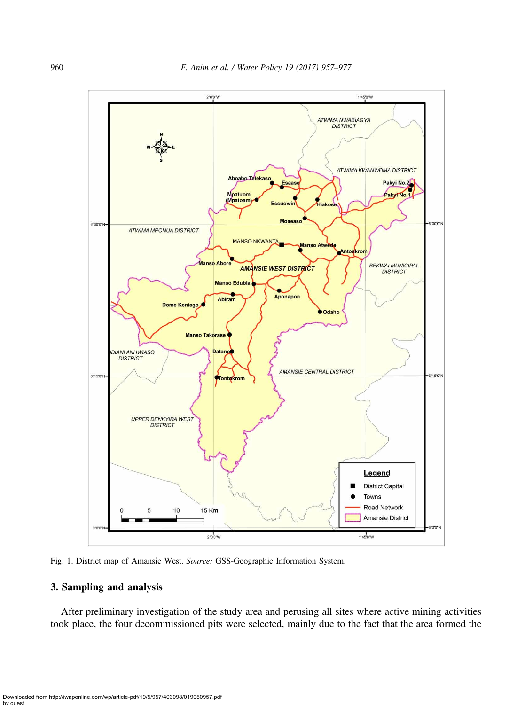<span id="page-3-0"></span>

Fig. 1. District map of Amansie West. Source: GSS-Geographic Information System.

#### 3. Sampling and analysis

After preliminary investigation of the study area and perusing all sites where active mining activities took place, the four decommissioned pits were selected, mainly due to the fact that the area formed the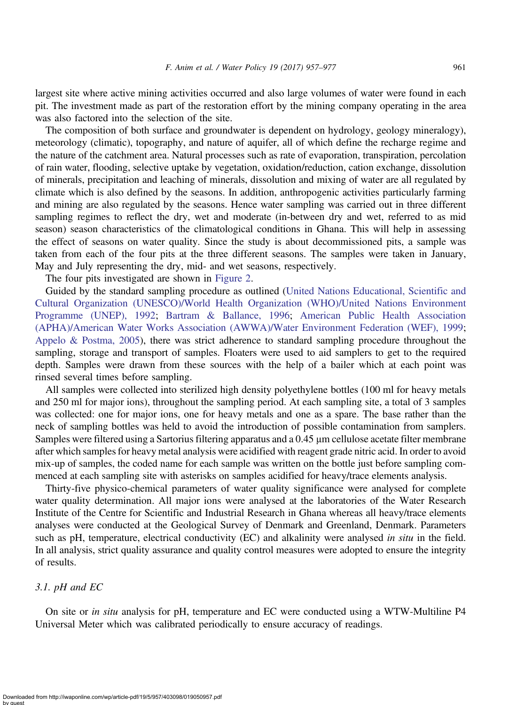largest site where active mining activities occurred and also large volumes of water were found in each pit. The investment made as part of the restoration effort by the mining company operating in the area was also factored into the selection of the site.

The composition of both surface and groundwater is dependent on hydrology, geology mineralogy), meteorology (climatic), topography, and nature of aquifer, all of which define the recharge regime and the nature of the catchment area. Natural processes such as rate of evaporation, transpiration, percolation of rain water, flooding, selective uptake by vegetation, oxidation/reduction, cation exchange, dissolution of minerals, precipitation and leaching of minerals, dissolution and mixing of water are all regulated by climate which is also defined by the seasons. In addition, anthropogenic activities particularly farming and mining are also regulated by the seasons. Hence water sampling was carried out in three different sampling regimes to reflect the dry, wet and moderate (in-between dry and wet, referred to as mid season) season characteristics of the climatological conditions in Ghana. This will help in assessing the effect of seasons on water quality. Since the study is about decommissioned pits, a sample was taken from each of the four pits at the three different seasons. The samples were taken in January, May and July representing the dry, mid- and wet seasons, respectively.

The four pits investigated are shown in [Figure 2](#page-5-0).

Guided by the standard sampling procedure as outlined [\(United Nations Educational, Scientific and](#page-20-0) [Cultural Organization \(UNESCO\)/World Health Organization \(WHO\)/United Nations Environment](#page-20-0) [Programme \(UNEP\), 1992;](#page-20-0) [Bartram & Ballance, 1996](#page-19-0); [American Public Health Association](#page-18-0) [\(APHA\)/American Water Works Association \(AWWA\)/Water Environment Federation \(WEF\), 1999](#page-18-0); [Appelo & Postma, 2005](#page-18-0)), there was strict adherence to standard sampling procedure throughout the sampling, storage and transport of samples. Floaters were used to aid samplers to get to the required depth. Samples were drawn from these sources with the help of a bailer which at each point was rinsed several times before sampling.

All samples were collected into sterilized high density polyethylene bottles (100 ml for heavy metals and 250 ml for major ions), throughout the sampling period. At each sampling site, a total of 3 samples was collected: one for major ions, one for heavy metals and one as a spare. The base rather than the neck of sampling bottles was held to avoid the introduction of possible contamination from samplers. Samples were filtered using a Sartorius filtering apparatus and a 0.45 μm cellulose acetate filter membrane after which samples for heavy metal analysis were acidified with reagent grade nitric acid. In order to avoid mix-up of samples, the coded name for each sample was written on the bottle just before sampling commenced at each sampling site with asterisks on samples acidified for heavy/trace elements analysis.

Thirty-five physico-chemical parameters of water quality significance were analysed for complete water quality determination. All major ions were analysed at the laboratories of the Water Research Institute of the Centre for Scientific and Industrial Research in Ghana whereas all heavy/trace elements analyses were conducted at the Geological Survey of Denmark and Greenland, Denmark. Parameters such as pH, temperature, electrical conductivity (EC) and alkalinity were analysed in situ in the field. In all analysis, strict quality assurance and quality control measures were adopted to ensure the integrity of results.

#### 3.1. pH and EC

On site or in situ analysis for pH, temperature and EC were conducted using a WTW-Multiline P4 Universal Meter which was calibrated periodically to ensure accuracy of readings.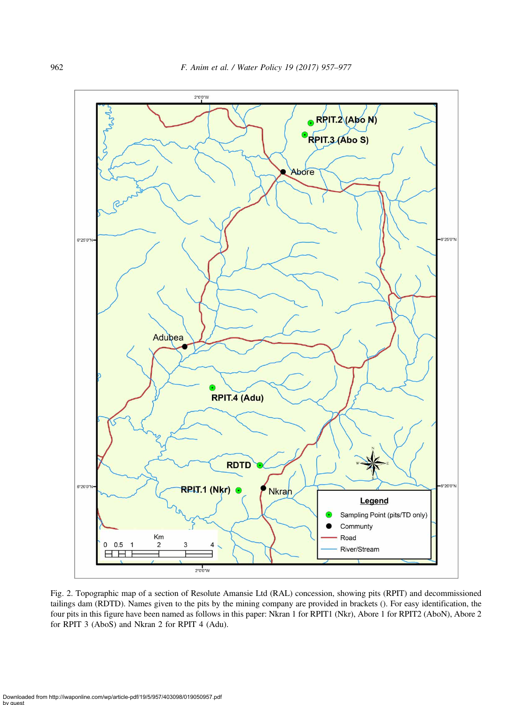<span id="page-5-0"></span>

Fig. 2. Topographic map of a section of Resolute Amansie Ltd (RAL) concession, showing pits (RPIT) and decommissioned tailings dam (RDTD). Names given to the pits by the mining company are provided in brackets (). For easy identification, the four pits in this figure have been named as follows in this paper: Nkran 1 for RPIT1 (Nkr), Abore 1 for RPIT2 (AboN), Abore 2 for RPIT 3 (AboS) and Nkran 2 for RPIT 4 (Adu).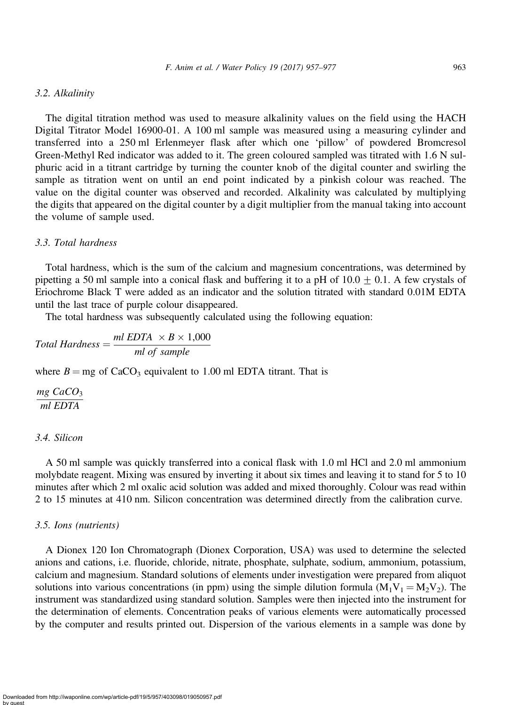#### 3.2. Alkalinity

The digital titration method was used to measure alkalinity values on the field using the HACH Digital Titrator Model 16900-01. A 100 ml sample was measured using a measuring cylinder and transferred into a 250 ml Erlenmeyer flask after which one 'pillow' of powdered Bromcresol Green-Methyl Red indicator was added to it. The green coloured sampled was titrated with 1.6 N sulphuric acid in a titrant cartridge by turning the counter knob of the digital counter and swirling the sample as titration went on until an end point indicated by a pinkish colour was reached. The value on the digital counter was observed and recorded. Alkalinity was calculated by multiplying the digits that appeared on the digital counter by a digit multiplier from the manual taking into account the volume of sample used.

#### 3.3. Total hardness

Total hardness, which is the sum of the calcium and magnesium concentrations, was determined by pipetting a 50 ml sample into a conical flask and buffering it to a pH of  $10.0 \pm 0.1$ . A few crystals of Eriochrome Black T were added as an indicator and the solution titrated with standard 0.01M EDTA until the last trace of purple colour disappeared.

The total hardness was subsequently calculated using the following equation:

 $Total Hardness = \frac{ml\ EDTA \times B \times 1,000}{ml\ of\ sample}$ ml of sample

where  $B = mg$  of CaCO<sub>3</sub> equivalent to 1.00 ml EDTA titrant. That is

## mg  $CaCO<sub>3</sub>$ ml EDTA

#### 3.4. Silicon

A 50 ml sample was quickly transferred into a conical flask with 1.0 ml HCl and 2.0 ml ammonium molybdate reagent. Mixing was ensured by inverting it about six times and leaving it to stand for 5 to 10 minutes after which 2 ml oxalic acid solution was added and mixed thoroughly. Colour was read within 2 to 15 minutes at 410 nm. Silicon concentration was determined directly from the calibration curve.

#### 3.5. Ions (nutrients)

A Dionex 120 Ion Chromatograph (Dionex Corporation, USA) was used to determine the selected anions and cations, i.e. fluoride, chloride, nitrate, phosphate, sulphate, sodium, ammonium, potassium, calcium and magnesium. Standard solutions of elements under investigation were prepared from aliquot solutions into various concentrations (in ppm) using the simple dilution formula  $(M_1V_1 = M_2V_2)$ . The instrument was standardized using standard solution. Samples were then injected into the instrument for the determination of elements. Concentration peaks of various elements were automatically processed by the computer and results printed out. Dispersion of the various elements in a sample was done by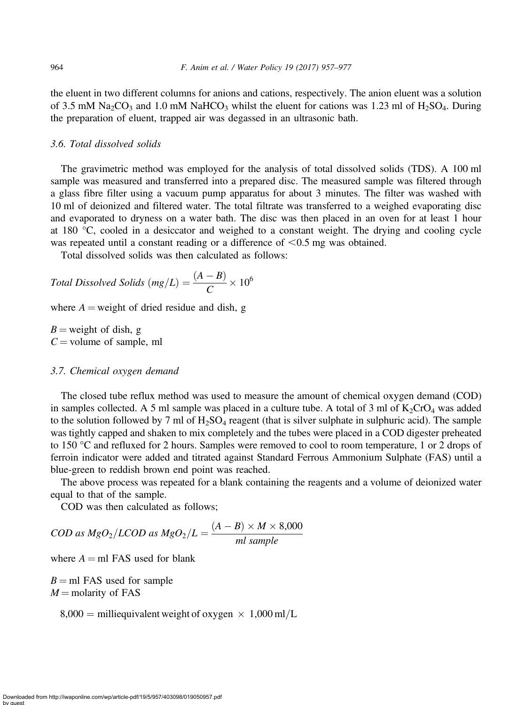the eluent in two different columns for anions and cations, respectively. The anion eluent was a solution of 3.5 mM  $Na<sub>2</sub>CO<sub>3</sub>$  and 1.0 mM NaHCO<sub>3</sub> whilst the eluent for cations was 1.23 ml of H<sub>2</sub>SO<sub>4</sub>. During the preparation of eluent, trapped air was degassed in an ultrasonic bath.

### 3.6. Total dissolved solids

The gravimetric method was employed for the analysis of total dissolved solids (TDS). A 100 ml sample was measured and transferred into a prepared disc. The measured sample was filtered through a glass fibre filter using a vacuum pump apparatus for about 3 minutes. The filter was washed with 10 ml of deionized and filtered water. The total filtrate was transferred to a weighed evaporating disc and evaporated to dryness on a water bath. The disc was then placed in an oven for at least 1 hour at 180 °C, cooled in a desiccator and weighed to a constant weight. The drying and cooling cycle was repeated until a constant reading or a difference of  $\leq 0.5$  mg was obtained.

Total dissolved solids was then calculated as follows:

$$
Total Dis solved Solids (mg/L) = \frac{(A - B)}{C} \times 10^6
$$

where  $A =$  weight of dried residue and dish, g

 $B$  = weight of dish, g  $C =$  volume of sample, ml

#### 3.7. Chemical oxygen demand

The closed tube reflux method was used to measure the amount of chemical oxygen demand (COD) in samples collected. A 5 ml sample was placed in a culture tube. A total of 3 ml of  $K_2CrO_4$  was added to the solution followed by 7 ml of  $H_2SO_4$  reagent (that is silver sulphate in sulphuric acid). The sample was tightly capped and shaken to mix completely and the tubes were placed in a COD digester preheated to 150 °C and refluxed for 2 hours. Samples were removed to cool to room temperature, 1 or 2 drops of ferroin indicator were added and titrated against Standard Ferrous Ammonium Sulphate (FAS) until a blue-green to reddish brown end point was reached.

The above process was repeated for a blank containing the reagents and a volume of deionized water equal to that of the sample.

COD was then calculated as follows;

$$
COD \text{ as } MgO_2/LCOD \text{ as } MgO_2/L = \frac{(A - B) \times M \times 8,000}{ml \text{ sample}}
$$

where  $A = ml$  FAS used for blank

 $B = ml$  FAS used for sample  $M =$  molarity of FAS

 $8,000 = \text{milliequivalent weight of oxygen} \times 1,000 \text{ ml/L}$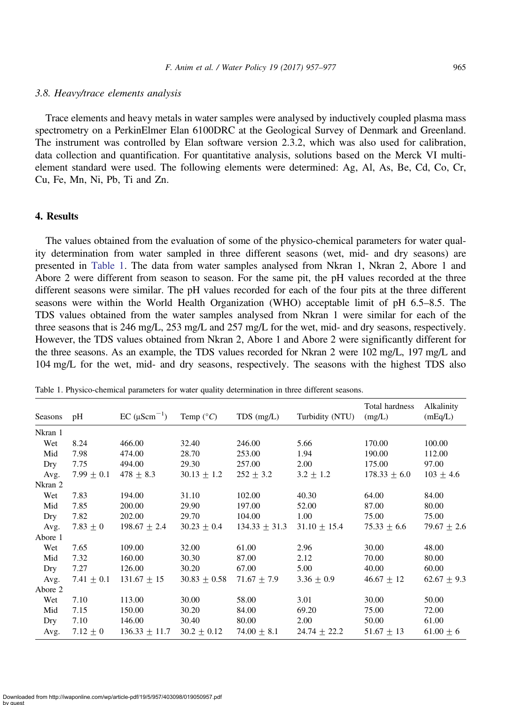#### 3.8. Heavy/trace elements analysis

Trace elements and heavy metals in water samples were analysed by inductively coupled plasma mass spectrometry on a PerkinElmer Elan 6100DRC at the Geological Survey of Denmark and Greenland. The instrument was controlled by Elan software version 2.3.2, which was also used for calibration, data collection and quantification. For quantitative analysis, solutions based on the Merck VI multielement standard were used. The following elements were determined: Ag, Al, As, Be, Cd, Co, Cr, Cu, Fe, Mn, Ni, Pb, Ti and Zn.

#### 4. Results

The values obtained from the evaluation of some of the physico-chemical parameters for water quality determination from water sampled in three different seasons (wet, mid- and dry seasons) are presented in Table 1. The data from water samples analysed from Nkran 1, Nkran 2, Abore 1 and Abore 2 were different from season to season. For the same pit, the pH values recorded at the three different seasons were similar. The pH values recorded for each of the four pits at the three different seasons were within the World Health Organization (WHO) acceptable limit of pH 6.5–8.5. The TDS values obtained from the water samples analysed from Nkran 1 were similar for each of the three seasons that is 246 mg/L, 253 mg/L and 257 mg/L for the wet, mid- and dry seasons, respectively. However, the TDS values obtained from Nkran 2, Abore 1 and Abore 2 were significantly different for the three seasons. As an example, the TDS values recorded for Nkran 2 were 102 mg/L, 197 mg/L and 104 mg/L for the wet, mid- and dry seasons, respectively. The seasons with the highest TDS also

|         |                |                               |                    |                   |                  | Total hardness | Alkalinity      |
|---------|----------------|-------------------------------|--------------------|-------------------|------------------|----------------|-----------------|
| Seasons | pH             | $EC$ ( $\mu\text{Scm}^{-1}$ ) | Temp $(^{\circ}C)$ | $TDS$ (mg/L)      | Turbidity (NTU)  | (mg/L)         | (mEq/L)         |
| Nkran 1 |                |                               |                    |                   |                  |                |                 |
| Wet     | 8.24           | 466.00                        | 32.40              | 246.00            | 5.66             | 170.00         | 100.00          |
| Mid     | 7.98           | 474.00                        | 28.70              | 253.00            | 1.94             | 190.00         | 112.00          |
| Dry     | 7.75           | 494.00                        | 29.30              | 257.00            | 2.00             | 175.00         | 97.00           |
| Avg.    | $7.99 \pm 0.1$ | $478 \pm 8.3$                 | $30.13 \pm 1.2$    | $252 \pm 3.2$     | $3.2 \pm 1.2$    | $178.33 + 6.0$ | $103 \pm 4.6$   |
| Nkran 2 |                |                               |                    |                   |                  |                |                 |
| Wet     | 7.83           | 194.00                        | 31.10              | 102.00            | 40.30            | 64.00          | 84.00           |
| Mid     | 7.85           | 200.00                        | 29.90              | 197.00            | 52.00            | 87.00          | 80.00           |
| Dry     | 7.82           | 202.00                        | 29.70              | 104.00            | 1.00             | 75.00          | 75.00           |
| Avg.    | $7.83 \pm 0$   | $198.67 \pm 2.4$              | $30.23 \pm 0.4$    | $134.33 \pm 31.3$ | $31.10 \pm 15.4$ | $75.33 + 6.6$  | $79.67 \pm 2.6$ |
| Abore 1 |                |                               |                    |                   |                  |                |                 |
| Wet     | 7.65           | 109.00                        | 32.00              | 61.00             | 2.96             | 30.00          | 48.00           |
| Mid     | 7.32           | 160.00                        | 30.30              | 87.00             | 2.12             | 70.00          | 80.00           |
| Dry     | 7.27           | 126.00                        | 30.20              | 67.00             | 5.00             | 40.00          | 60.00           |
| Avg.    | 7.41 $\pm$ 0.1 | $131.67 \pm 15$               | $30.83 \pm 0.58$   | $71.67 \pm 7.9$   | $3.36 \pm 0.9$   | $46.67 \pm 12$ | $62.67 \pm 9.3$ |
| Abore 2 |                |                               |                    |                   |                  |                |                 |
| Wet     | 7.10           | 113.00                        | 30.00              | 58.00             | 3.01             | 30.00          | 50.00           |
| Mid     | 7.15           | 150.00                        | 30.20              | 84.00             | 69.20            | 75.00          | 72.00           |
| Dry     | 7.10           | 146.00                        | 30.40              | 80.00             | 2.00             | 50.00          | 61.00           |
| Avg.    | $7.12 \pm 0$   | $136.33 \pm 11.7$             | $30.2 \pm 0.12$    | $74.00 \pm 8.1$   | $24.74 \pm 22.2$ | $51.67 \pm 13$ | $61.00 \pm 6$   |

Table 1. Physico-chemical parameters for water quality determination in three different seasons.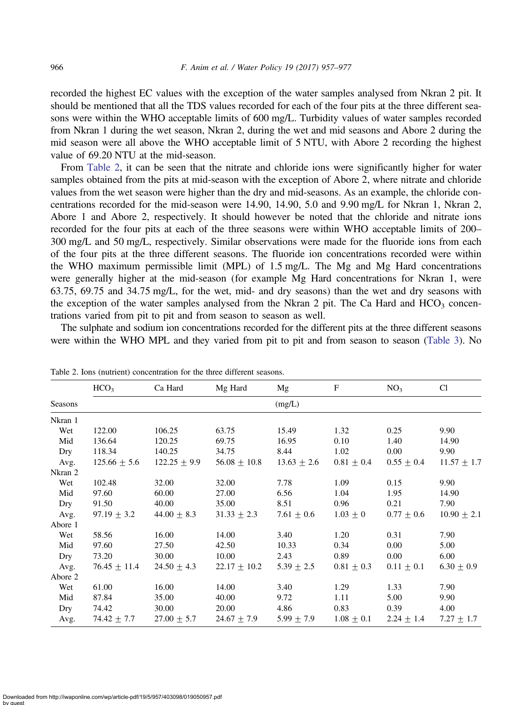recorded the highest EC values with the exception of the water samples analysed from Nkran 2 pit. It should be mentioned that all the TDS values recorded for each of the four pits at the three different seasons were within the WHO acceptable limits of 600 mg/L. Turbidity values of water samples recorded from Nkran 1 during the wet season, Nkran 2, during the wet and mid seasons and Abore 2 during the mid season were all above the WHO acceptable limit of 5 NTU, with Abore 2 recording the highest value of 69.20 NTU at the mid-season.

From Table 2, it can be seen that the nitrate and chloride ions were significantly higher for water samples obtained from the pits at mid-season with the exception of Abore 2, where nitrate and chloride values from the wet season were higher than the dry and mid-seasons. As an example, the chloride concentrations recorded for the mid-season were 14.90, 14.90, 5.0 and 9.90 mg/L for Nkran 1, Nkran 2, Abore 1 and Abore 2, respectively. It should however be noted that the chloride and nitrate ions recorded for the four pits at each of the three seasons were within WHO acceptable limits of 200– 300 mg/L and 50 mg/L, respectively. Similar observations were made for the fluoride ions from each of the four pits at the three different seasons. The fluoride ion concentrations recorded were within the WHO maximum permissible limit (MPL) of 1.5 mg/L. The Mg and Mg Hard concentrations were generally higher at the mid-season (for example Mg Hard concentrations for Nkran 1, were 63.75, 69.75 and 34.75 mg/L, for the wet, mid- and dry seasons) than the wet and dry seasons with the exception of the water samples analysed from the Nkran 2 pit. The Ca Hard and  $HCO<sub>3</sub>$  concentrations varied from pit to pit and from season to season as well.

The sulphate and sodium ion concentrations recorded for the different pits at the three different seasons were within the WHO MPL and they varied from pit to pit and from season to season ([Table 3\)](#page-10-0). No

|         | HCO <sub>3</sub> | Ca Hard          | Mg Hard          | Mg              | $\boldsymbol{\mathrm{F}}$ | NO <sub>3</sub> | Cl              |
|---------|------------------|------------------|------------------|-----------------|---------------------------|-----------------|-----------------|
| Seasons |                  |                  |                  | (mg/L)          |                           |                 |                 |
| Nkran 1 |                  |                  |                  |                 |                           |                 |                 |
| Wet     | 122.00           | 106.25           | 63.75            | 15.49           | 1.32                      | 0.25            | 9.90            |
| Mid     | 136.64           | 120.25           | 69.75            | 16.95           | 0.10                      | 1.40            | 14.90           |
| Dry     | 118.34           | 140.25           | 34.75            | 8.44            | 1.02                      | 0.00            | 9.90            |
| Avg.    | $125.66 \pm 5.6$ | $122.25 \pm 9.9$ | $56.08 \pm 10.8$ | $13.63 \pm 2.6$ | $0.81 \pm 0.4$            | $0.55 \pm 0.4$  | $11.57 \pm 1.7$ |
| Nkran 2 |                  |                  |                  |                 |                           |                 |                 |
| Wet     | 102.48           | 32.00            | 32.00            | 7.78            | 1.09                      | 0.15            | 9.90            |
| Mid     | 97.60            | 60.00            | 27.00            | 6.56            | 1.04                      | 1.95            | 14.90           |
| Dry     | 91.50            | 40.00            | 35.00            | 8.51            | 0.96                      | 0.21            | 7.90            |
| Avg.    | $97.19 \pm 3.2$  | $44.00 \pm 8.3$  | $31.33 \pm 2.3$  | $7.61 \pm 0.6$  | $1.03 \pm 0$              | $0.77 \pm 0.6$  | $10.90 \pm 2.1$ |
| Abore 1 |                  |                  |                  |                 |                           |                 |                 |
| Wet     | 58.56            | 16.00            | 14.00            | 3.40            | 1.20                      | 0.31            | 7.90            |
| Mid     | 97.60            | 27.50            | 42.50            | 10.33           | 0.34                      | 0.00            | 5.00            |
| Dry     | 73.20            | 30.00            | 10.00            | 2.43            | 0.89                      | 0.00            | 6.00            |
| Avg.    | $76.45 \pm 11.4$ | $24.50 \pm 4.3$  | $22.17 \pm 10.2$ | $5.39 \pm 2.5$  | $0.81 \pm 0.3$            | $0.11 \pm 0.1$  | $6.30 \pm 0.9$  |
| Abore 2 |                  |                  |                  |                 |                           |                 |                 |
| Wet     | 61.00            | 16.00            | 14.00            | 3.40            | 1.29                      | 1.33            | 7.90            |
| Mid     | 87.84            | 35.00            | 40.00            | 9.72            | 1.11                      | 5.00            | 9.90            |
| Dry     | 74.42            | 30.00            | 20.00            | 4.86            | 0.83                      | 0.39            | 4.00            |
| Avg.    | $74.42 \pm 7.7$  | $27.00 \pm 5.7$  | $24.67 \pm 7.9$  | $5.99 \pm 7.9$  | $1.08 \pm 0.1$            | $2.24 \pm 1.4$  | $7.27 \pm 1.7$  |

Table 2. Ions (nutrient) concentration for the three different seasons.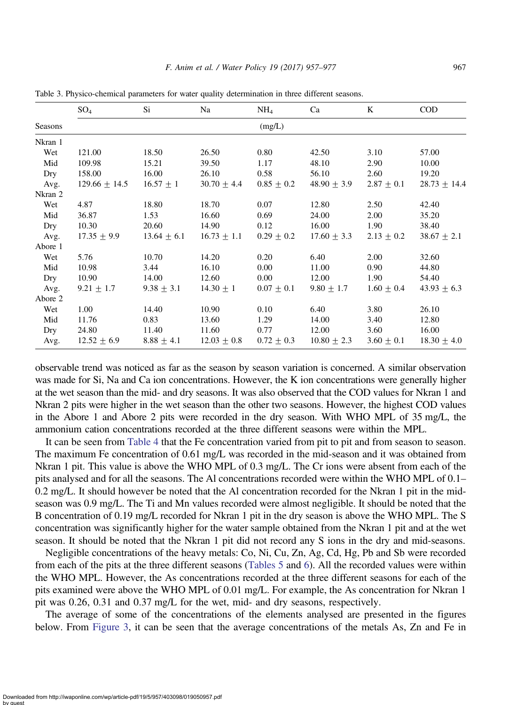|         | $SO_4$            | Si             | Na              | $NH_4$         | Ca              | K              | <b>COD</b>       |  |
|---------|-------------------|----------------|-----------------|----------------|-----------------|----------------|------------------|--|
| Seasons |                   |                |                 | (mg/L)         |                 |                |                  |  |
| Nkran 1 |                   |                |                 |                |                 |                |                  |  |
| Wet     | 121.00            | 18.50          | 26.50           | 0.80           | 42.50           | 3.10           | 57.00            |  |
| Mid     | 109.98            | 15.21          | 39.50           | 1.17           | 48.10           | 2.90           | 10.00            |  |
| Dry     | 158.00            | 16.00          | 26.10           | 0.58           | 56.10           | 2.60           | 19.20            |  |
| Avg.    | $129.66 \pm 14.5$ | $16.57 \pm 1$  | $30.70 \pm 4.4$ | $0.85 \pm 0.2$ | $48.90 \pm 3.9$ | $2.87 \pm 0.1$ | $28.73 \pm 14.4$ |  |
| Nkran 2 |                   |                |                 |                |                 |                |                  |  |
| Wet     | 4.87              | 18.80          | 18.70           | 0.07           | 12.80           | 2.50           | 42.40            |  |
| Mid     | 36.87             | 1.53           | 16.60           | 0.69           | 24.00           | 2.00           | 35.20            |  |
| Dry     | 10.30             | 20.60          | 14.90           | 0.12           | 16.00           | 1.90           | 38.40            |  |
| Avg.    | $17.35 \pm 9.9$   | $13.64 + 6.1$  | $16.73 \pm 1.1$ | $0.29 + 0.2$   | $17.60 \pm 3.3$ | $2.13 \pm 0.2$ | $38.67 \pm 2.1$  |  |
| Abore 1 |                   |                |                 |                |                 |                |                  |  |
| Wet     | 5.76              | 10.70          | 14.20           | 0.20           | 6.40            | 2.00           | 32.60            |  |
| Mid     | 10.98             | 3.44           | 16.10           | 0.00           | 11.00           | 0.90           | 44.80            |  |
| Dry     | 10.90             | 14.00          | 12.60           | 0.00           | 12.00           | 1.90           | 54.40            |  |
| Avg.    | $9.21 \pm 1.7$    | $9.38 \pm 3.1$ | $14.30 \pm 1$   | $0.07 \pm 0.1$ | $9.80 \pm 1.7$  | $1.60 + 0.4$   | $43.93 \pm 6.3$  |  |
| Abore 2 |                   |                |                 |                |                 |                |                  |  |
| Wet     | 1.00              | 14.40          | 10.90           | 0.10           | 6.40            | 3.80           | 26.10            |  |
| Mid     | 11.76             | 0.83           | 13.60           | 1.29           | 14.00           | 3.40           | 12.80            |  |
| Dry     | 24.80             | 11.40          | 11.60           | 0.77           | 12.00           | 3.60           | 16.00            |  |
| Avg.    | $12.52 \pm 6.9$   | $8.88 \pm 4.1$ | $12.03 \pm 0.8$ | $0.72 \pm 0.3$ | $10.80 \pm 2.3$ | $3.60 \pm 0.1$ | $18.30 \pm 4.0$  |  |
|         |                   |                |                 |                |                 |                |                  |  |

<span id="page-10-0"></span>Table 3. Physico-chemical parameters for water quality determination in three different seasons.

observable trend was noticed as far as the season by season variation is concerned. A similar observation was made for Si, Na and Ca ion concentrations. However, the K ion concentrations were generally higher at the wet season than the mid- and dry seasons. It was also observed that the COD values for Nkran 1 and Nkran 2 pits were higher in the wet season than the other two seasons. However, the highest COD values in the Abore 1 and Abore 2 pits were recorded in the dry season. With WHO MPL of 35 mg/L, the ammonium cation concentrations recorded at the three different seasons were within the MPL.

It can be seen from [Table 4](#page-11-0) that the Fe concentration varied from pit to pit and from season to season. The maximum Fe concentration of 0.61 mg/L was recorded in the mid-season and it was obtained from Nkran 1 pit. This value is above the WHO MPL of 0.3 mg/L. The Cr ions were absent from each of the pits analysed and for all the seasons. The Al concentrations recorded were within the WHO MPL of 0.1– 0.2 mg/L. It should however be noted that the Al concentration recorded for the Nkran 1 pit in the midseason was 0.9 mg/L. The Ti and Mn values recorded were almost negligible. It should be noted that the B concentration of 0.19 mg/L recorded for Nkran 1 pit in the dry season is above the WHO MPL. The S concentration was significantly higher for the water sample obtained from the Nkran 1 pit and at the wet season. It should be noted that the Nkran 1 pit did not record any S ions in the dry and mid-seasons.

Negligible concentrations of the heavy metals: Co, Ni, Cu, Zn, Ag, Cd, Hg, Pb and Sb were recorded from each of the pits at the three different seasons [\(Tables 5](#page-12-0) and [6\)](#page-13-0). All the recorded values were within the WHO MPL. However, the As concentrations recorded at the three different seasons for each of the pits examined were above the WHO MPL of 0.01 mg/L. For example, the As concentration for Nkran 1 pit was 0.26, 0.31 and 0.37 mg/L for the wet, mid- and dry seasons, respectively.

The average of some of the concentrations of the elements analysed are presented in the figures below. From [Figure 3](#page-13-0), it can be seen that the average concentrations of the metals As, Zn and Fe in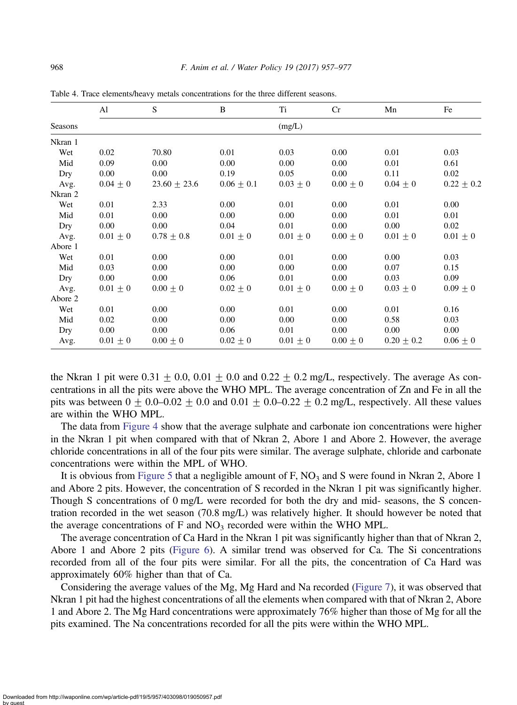|         | Al           | S                | $\, {\bf B}$   | Ti           | Cr           | Mn             | Fe             |
|---------|--------------|------------------|----------------|--------------|--------------|----------------|----------------|
| Seasons |              |                  |                | (mg/L)       |              |                |                |
| Nkran 1 |              |                  |                |              |              |                |                |
| Wet     | 0.02         | 70.80            | 0.01           | 0.03         | 0.00         | 0.01           | 0.03           |
| Mid     | 0.09         | 0.00             | 0.00           | 0.00         | 0.00         | 0.01           | 0.61           |
| Dry     | 0.00         | 0.00             | 0.19           | 0.05         | 0.00         | 0.11           | 0.02           |
| Avg.    | $0.04 \pm 0$ | $23.60 \pm 23.6$ | $0.06 \pm 0.1$ | $0.03 \pm 0$ | $0.00 \pm 0$ | $0.04 + 0$     | $0.22 \pm 0.2$ |
| Nkran 2 |              |                  |                |              |              |                |                |
| Wet     | 0.01         | 2.33             | 0.00           | 0.01         | 0.00         | 0.01           | 0.00           |
| Mid     | 0.01         | 0.00             | 0.00           | 0.00         | 0.00         | 0.01           | 0.01           |
| Dry     | 0.00         | 0.00             | 0.04           | 0.01         | 0.00         | 0.00           | 0.02           |
| Avg.    | $0.01 \pm 0$ | $0.78 \pm 0.8$   | $0.01 \pm 0$   | $0.01 \pm 0$ | $0.00 \pm 0$ | $0.01 \pm 0$   | $0.01 \pm 0$   |
| Abore 1 |              |                  |                |              |              |                |                |
| Wet     | 0.01         | 0.00             | 0.00           | 0.01         | 0.00         | 0.00           | 0.03           |
| Mid     | 0.03         | 0.00             | 0.00           | 0.00         | 0.00         | 0.07           | 0.15           |
| Dry     | 0.00         | 0.00             | 0.06           | 0.01         | 0.00         | 0.03           | 0.09           |
| Avg.    | $0.01 \pm 0$ | $0.00 \pm 0$     | $0.02 \pm 0$   | $0.01 \pm 0$ | $0.00 \pm 0$ | $0.03 \pm 0$   | $0.09 \pm 0$   |
| Abore 2 |              |                  |                |              |              |                |                |
| Wet     | 0.01         | 0.00             | 0.00           | 0.01         | 0.00         | 0.01           | 0.16           |
| Mid     | 0.02         | 0.00             | 0.00           | 0.00         | 0.00         | 0.58           | 0.03           |
| Dry     | 0.00         | $0.00\,$         | 0.06           | 0.01         | 0.00         | 0.00           | 0.00           |
| Avg.    | $0.01 \pm 0$ | $0.00 \pm 0$     | $0.02 \pm 0$   | $0.01 \pm 0$ | $0.00 \pm 0$ | $0.20 \pm 0.2$ | $0.06 \pm 0$   |

<span id="page-11-0"></span>Table 4. Trace elements/heavy metals concentrations for the three different seasons.

the Nkran 1 pit were  $0.31 + 0.0$ ,  $0.01 + 0.0$  and  $0.22 + 0.2$  mg/L, respectively. The average As concentrations in all the pits were above the WHO MPL. The average concentration of Zn and Fe in all the pits was between  $0 \pm 0.0 - 0.02 \pm 0.0$  and  $0.01 \pm 0.0 - 0.22 \pm 0.2$  mg/L, respectively. All these values are within the WHO MPL.

The data from [Figure 4](#page-14-0) show that the average sulphate and carbonate ion concentrations were higher in the Nkran 1 pit when compared with that of Nkran 2, Abore 1 and Abore 2. However, the average chloride concentrations in all of the four pits were similar. The average sulphate, chloride and carbonate concentrations were within the MPL of WHO.

It is obvious from [Figure 5](#page-14-0) that a negligible amount of F,  $NO<sub>3</sub>$  and S were found in Nkran 2, Abore 1 and Abore 2 pits. However, the concentration of S recorded in the Nkran 1 pit was significantly higher. Though S concentrations of 0 mg/L were recorded for both the dry and mid- seasons, the S concentration recorded in the wet season (70.8 mg/L) was relatively higher. It should however be noted that the average concentrations of  $F$  and  $NO<sub>3</sub>$  recorded were within the WHO MPL.

The average concentration of Ca Hard in the Nkran 1 pit was significantly higher than that of Nkran 2, Abore 1 and Abore 2 pits [\(Figure 6\)](#page-15-0). A similar trend was observed for Ca. The Si concentrations recorded from all of the four pits were similar. For all the pits, the concentration of Ca Hard was approximately 60% higher than that of Ca.

Considering the average values of the Mg, Mg Hard and Na recorded [\(Figure 7](#page-15-0)), it was observed that Nkran 1 pit had the highest concentrations of all the elements when compared with that of Nkran 2, Abore 1 and Abore 2. The Mg Hard concentrations were approximately 76% higher than those of Mg for all the pits examined. The Na concentrations recorded for all the pits were within the WHO MPL.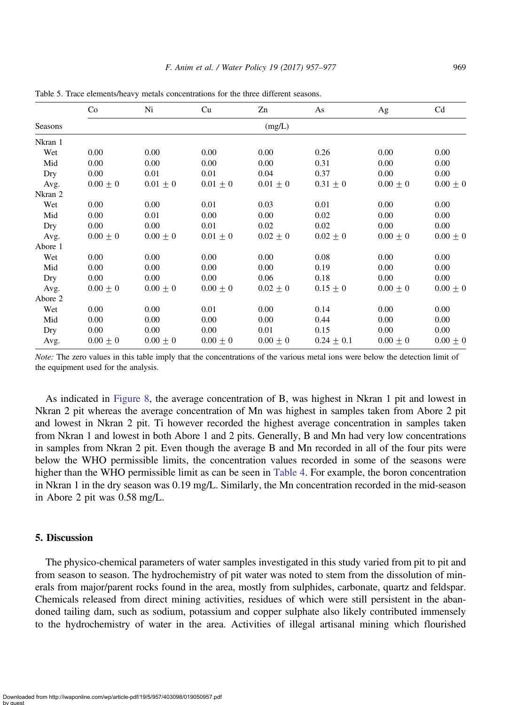|                | Co           | Ni           | Cu           | Zn           | As             | Ag           | Cd           |  |
|----------------|--------------|--------------|--------------|--------------|----------------|--------------|--------------|--|
| <b>Seasons</b> | (mg/L)       |              |              |              |                |              |              |  |
| Nkran 1        |              |              |              |              |                |              |              |  |
| Wet            | 0.00         | 0.00         | 0.00         | 0.00         | 0.26           | 0.00         | 0.00         |  |
| Mid            | 0.00         | 0.00         | 0.00         | 0.00         | 0.31           | 0.00         | 0.00         |  |
| Dry            | 0.00         | 0.01         | 0.01         | 0.04         | 0.37           | 0.00         | 0.00         |  |
| Avg.           | $0.00 \pm 0$ | $0.01 \pm 0$ | $0.01 \pm 0$ | $0.01 \pm 0$ | $0.31 \pm 0$   | $0.00 \pm 0$ | $0.00 \pm 0$ |  |
| Nkran 2        |              |              |              |              |                |              |              |  |
| Wet            | 0.00         | 0.00         | 0.01         | 0.03         | 0.01           | 0.00         | 0.00         |  |
| Mid            | 0.00         | 0.01         | 0.00         | 0.00         | 0.02           | 0.00         | 0.00         |  |
| Dry            | 0.00         | 0.00         | 0.01         | 0.02         | 0.02           | 0.00         | 0.00         |  |
| Avg.           | $0.00 \pm 0$ | $0.00 \pm 0$ | $0.01 \pm 0$ | $0.02 \pm 0$ | $0.02 \pm 0$   | $0.00 \pm 0$ | $0.00 \pm 0$ |  |
| Abore 1        |              |              |              |              |                |              |              |  |
| Wet            | 0.00         | 0.00         | 0.00         | 0.00         | 0.08           | 0.00         | 0.00         |  |
| Mid            | 0.00         | 0.00         | 0.00         | 0.00         | 0.19           | 0.00         | 0.00         |  |
| Dry            | 0.00         | 0.00         | 0.00         | 0.06         | 0.18           | 0.00         | 0.00         |  |
| Avg.           | $0.00 \pm 0$ | $0.00 \pm 0$ | $0.00 \pm 0$ | $0.02 \pm 0$ | $0.15 \pm 0$   | $0.00 \pm 0$ | $0.00 \pm 0$ |  |
| Abore 2        |              |              |              |              |                |              |              |  |
| Wet            | 0.00         | 0.00         | 0.01         | 0.00         | 0.14           | 0.00         | 0.00         |  |
| Mid            | 0.00         | 0.00         | 0.00         | 0.00         | 0.44           | 0.00         | 0.00         |  |
| Dry            | 0.00         | 0.00         | 0.00         | 0.01         | 0.15           | 0.00         | 0.00         |  |
| Avg.           | $0.00 \pm 0$ | $0.00 \pm 0$ | $0.00 \pm 0$ | $0.00 \pm 0$ | $0.24 \pm 0.1$ | $0.00 \pm 0$ | $0.00 \pm 0$ |  |

<span id="page-12-0"></span>Table 5. Trace elements/heavy metals concentrations for the three different seasons.

Note: The zero values in this table imply that the concentrations of the various metal ions were below the detection limit of the equipment used for the analysis.

As indicated in [Figure 8](#page-16-0), the average concentration of B, was highest in Nkran 1 pit and lowest in Nkran 2 pit whereas the average concentration of Mn was highest in samples taken from Abore 2 pit and lowest in Nkran 2 pit. Ti however recorded the highest average concentration in samples taken from Nkran 1 and lowest in both Abore 1 and 2 pits. Generally, B and Mn had very low concentrations in samples from Nkran 2 pit. Even though the average B and Mn recorded in all of the four pits were below the WHO permissible limits, the concentration values recorded in some of the seasons were higher than the WHO permissible limit as can be seen in [Table 4](#page-11-0). For example, the boron concentration in Nkran 1 in the dry season was 0.19 mg/L. Similarly, the Mn concentration recorded in the mid-season in Abore 2 pit was 0.58 mg/L.

#### 5. Discussion

The physico-chemical parameters of water samples investigated in this study varied from pit to pit and from season to season. The hydrochemistry of pit water was noted to stem from the dissolution of minerals from major/parent rocks found in the area, mostly from sulphides, carbonate, quartz and feldspar. Chemicals released from direct mining activities, residues of which were still persistent in the abandoned tailing dam, such as sodium, potassium and copper sulphate also likely contributed immensely to the hydrochemistry of water in the area. Activities of illegal artisanal mining which flourished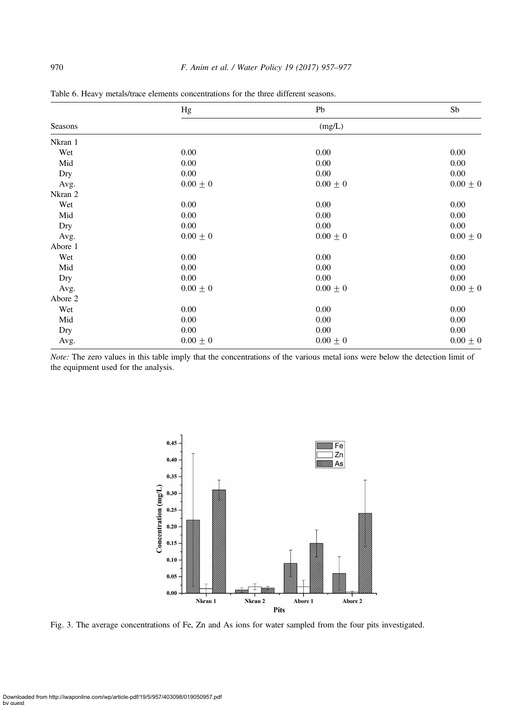|         | Hg         | Pb           | Sb           |  |
|---------|------------|--------------|--------------|--|
| Seasons |            | (mg/L)       |              |  |
| Nkran 1 |            |              |              |  |
| Wet     | 0.00       | 0.00         | 0.00         |  |
| Mid     | 0.00       | 0.00         | 0.00         |  |
| Dry     | 0.00       | 0.00         | 0.00         |  |
| Avg.    | $0.00\pm0$ | $0.00 \pm 0$ | $0.00 \pm 0$ |  |
| Nkran 2 |            |              |              |  |
| Wet     | 0.00       | 0.00         | 0.00         |  |
| Mid     | 0.00       | 0.00         | 0.00         |  |
| Dry     | 0.00       | 0.00         | $0.00\,$     |  |
| Avg.    | $0.00\pm0$ | $0.00 \pm 0$ | $0.00\pm0$   |  |
| Abore 1 |            |              |              |  |
| Wet     | 0.00       | 0.00         | 0.00         |  |
| Mid     | 0.00       | 0.00         | 0.00         |  |
| Dry     | 0.00       | 0.00         | 0.00         |  |
| Avg.    | $0.00\pm0$ | $0.00\pm0$   | $0.00\pm0$   |  |
| Abore 2 |            |              |              |  |
| Wet     | 0.00       | 0.00         | 0.00         |  |
| Mid     | 0.00       | 0.00         | 0.00         |  |
| Dry     | 0.00       | 0.00         | 0.00         |  |
| Avg.    | $0.00\pm0$ | $0.00 \pm 0$ | $0.00\pm0$   |  |

Table 6. Heavy metals/trace elements concentrations for the three different seasons.

Note: The zero values in this table imply that the concentrations of the various metal ions were below the detection limit of the equipment used for the analysis.



Fig. 3. The average concentrations of Fe, Zn and As ions for water sampled from the four pits investigated.

<span id="page-13-0"></span>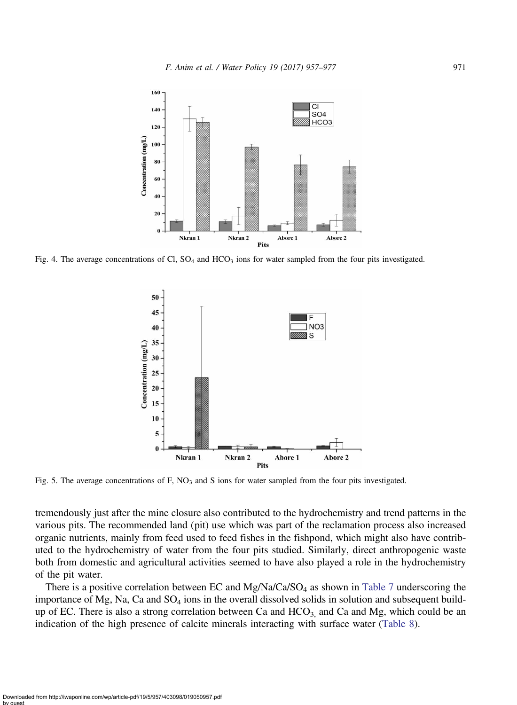<span id="page-14-0"></span>

Fig. 4. The average concentrations of Cl,  $SO_4$  and  $HCO_3$  ions for water sampled from the four pits investigated.



Fig. 5. The average concentrations of F,  $NO<sub>3</sub>$  and S ions for water sampled from the four pits investigated.

tremendously just after the mine closure also contributed to the hydrochemistry and trend patterns in the various pits. The recommended land (pit) use which was part of the reclamation process also increased organic nutrients, mainly from feed used to feed fishes in the fishpond, which might also have contributed to the hydrochemistry of water from the four pits studied. Similarly, direct anthropogenic waste both from domestic and agricultural activities seemed to have also played a role in the hydrochemistry of the pit water.

There is a positive correlation between EC and  $Mg/Na/Ca/SO<sub>4</sub>$  as shown in [Table 7](#page-16-0) underscoring the importance of Mg, Na, Ca and  $SO_4$  ions in the overall dissolved solids in solution and subsequent buildup of EC. There is also a strong correlation between Ca and  $HCO<sub>3</sub>$  and Ca and Mg, which could be an indication of the high presence of calcite minerals interacting with surface water ([Table 8](#page-16-0)).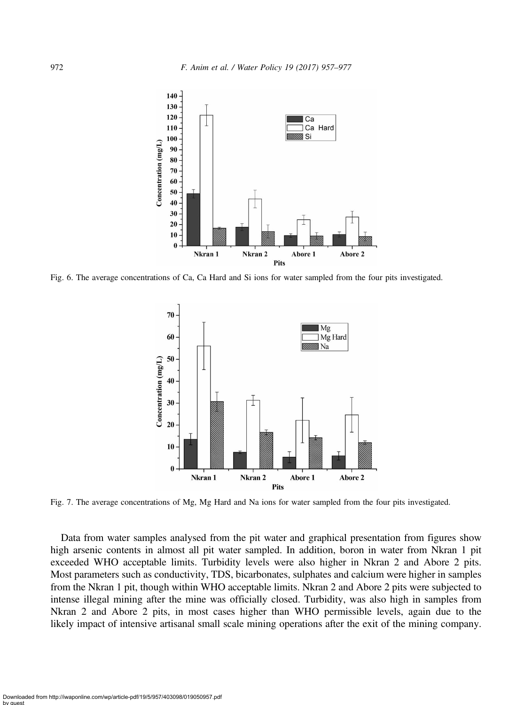<span id="page-15-0"></span>

Fig. 6. The average concentrations of Ca, Ca Hard and Si ions for water sampled from the four pits investigated.



Fig. 7. The average concentrations of Mg, Mg Hard and Na ions for water sampled from the four pits investigated.

Data from water samples analysed from the pit water and graphical presentation from figures show high arsenic contents in almost all pit water sampled. In addition, boron in water from Nkran 1 pit exceeded WHO acceptable limits. Turbidity levels were also higher in Nkran 2 and Abore 2 pits. Most parameters such as conductivity, TDS, bicarbonates, sulphates and calcium were higher in samples from the Nkran 1 pit, though within WHO acceptable limits. Nkran 2 and Abore 2 pits were subjected to intense illegal mining after the mine was officially closed. Turbidity, was also high in samples from Nkran 2 and Abore 2 pits, in most cases higher than WHO permissible levels, again due to the likely impact of intensive artisanal small scale mining operations after the exit of the mining company.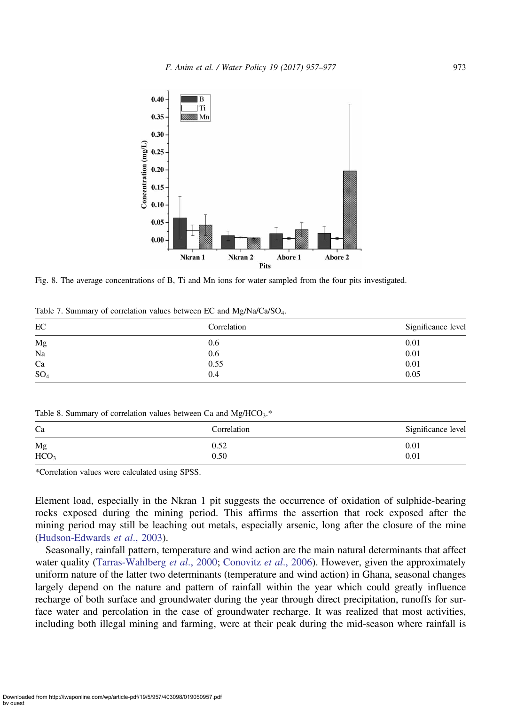<span id="page-16-0"></span>

Fig. 8. The average concentrations of B, Ti and Mn ions for water sampled from the four pits investigated.

Table 7. Summary of correlation values between EC and Mg/Na/Ca/SO<sub>4</sub>.

| EC              | Correlation | Significance level |  |
|-----------------|-------------|--------------------|--|
| Mg              | 0.6         | 0.01               |  |
| Na              | 0.6         | 0.01               |  |
| Ca              | 0.55        | 0.01               |  |
| SO <sub>4</sub> | 0.4         | 0.05               |  |

#### Table 8. Summary of correlation values between Ca and Mg/HCO<sub>3</sub>.\*

| Ca               | Correlation | Significance level |
|------------------|-------------|--------------------|
| Mg               | 0.52        | 0.01               |
| HCO <sub>3</sub> | 0.50        | 0.01               |

\*Correlation values were calculated using SPSS.

Element load, especially in the Nkran 1 pit suggests the occurrence of oxidation of sulphide-bearing rocks exposed during the mining period. This affirms the assertion that rock exposed after the mining period may still be leaching out metals, especially arsenic, long after the closure of the mine ([Hudson-Edwards](#page-19-0) et al., 2003).

Seasonally, rainfall pattern, temperature and wind action are the main natural determinants that affect water quality [\(Tarras-Wahlberg](#page-20-0) *et al.*, 2000; [Conovitz](#page-19-0) *et al.*, 2006). However, given the approximately uniform nature of the latter two determinants (temperature and wind action) in Ghana, seasonal changes largely depend on the nature and pattern of rainfall within the year which could greatly influence recharge of both surface and groundwater during the year through direct precipitation, runoffs for surface water and percolation in the case of groundwater recharge. It was realized that most activities, including both illegal mining and farming, were at their peak during the mid-season where rainfall is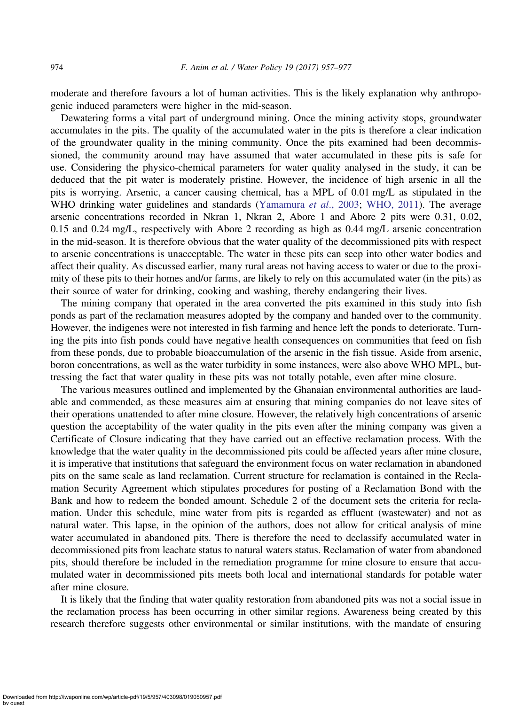moderate and therefore favours a lot of human activities. This is the likely explanation why anthropogenic induced parameters were higher in the mid-season.

Dewatering forms a vital part of underground mining. Once the mining activity stops, groundwater accumulates in the pits. The quality of the accumulated water in the pits is therefore a clear indication of the groundwater quality in the mining community. Once the pits examined had been decommissioned, the community around may have assumed that water accumulated in these pits is safe for use. Considering the physico-chemical parameters for water quality analysed in the study, it can be deduced that the pit water is moderately pristine. However, the incidence of high arsenic in all the pits is worrying. Arsenic, a cancer causing chemical, has a MPL of 0.01 mg/L as stipulated in the WHO drinking water guidelines and standards ([Yamamura](#page-20-0) *et al.*, 2003; [WHO, 2011](#page-20-0)). The average arsenic concentrations recorded in Nkran 1, Nkran 2, Abore 1 and Abore 2 pits were 0.31, 0.02, 0.15 and 0.24 mg/L, respectively with Abore 2 recording as high as 0.44 mg/L arsenic concentration in the mid-season. It is therefore obvious that the water quality of the decommissioned pits with respect to arsenic concentrations is unacceptable. The water in these pits can seep into other water bodies and affect their quality. As discussed earlier, many rural areas not having access to water or due to the proximity of these pits to their homes and/or farms, are likely to rely on this accumulated water (in the pits) as their source of water for drinking, cooking and washing, thereby endangering their lives.

The mining company that operated in the area converted the pits examined in this study into fish ponds as part of the reclamation measures adopted by the company and handed over to the community. However, the indigenes were not interested in fish farming and hence left the ponds to deteriorate. Turning the pits into fish ponds could have negative health consequences on communities that feed on fish from these ponds, due to probable bioaccumulation of the arsenic in the fish tissue. Aside from arsenic, boron concentrations, as well as the water turbidity in some instances, were also above WHO MPL, buttressing the fact that water quality in these pits was not totally potable, even after mine closure.

The various measures outlined and implemented by the Ghanaian environmental authorities are laudable and commended, as these measures aim at ensuring that mining companies do not leave sites of their operations unattended to after mine closure. However, the relatively high concentrations of arsenic question the acceptability of the water quality in the pits even after the mining company was given a Certificate of Closure indicating that they have carried out an effective reclamation process. With the knowledge that the water quality in the decommissioned pits could be affected years after mine closure, it is imperative that institutions that safeguard the environment focus on water reclamation in abandoned pits on the same scale as land reclamation. Current structure for reclamation is contained in the Reclamation Security Agreement which stipulates procedures for posting of a Reclamation Bond with the Bank and how to redeem the bonded amount. Schedule 2 of the document sets the criteria for reclamation. Under this schedule, mine water from pits is regarded as effluent (wastewater) and not as natural water. This lapse, in the opinion of the authors, does not allow for critical analysis of mine water accumulated in abandoned pits. There is therefore the need to declassify accumulated water in decommissioned pits from leachate status to natural waters status. Reclamation of water from abandoned pits, should therefore be included in the remediation programme for mine closure to ensure that accumulated water in decommissioned pits meets both local and international standards for potable water after mine closure.

It is likely that the finding that water quality restoration from abandoned pits was not a social issue in the reclamation process has been occurring in other similar regions. Awareness being created by this research therefore suggests other environmental or similar institutions, with the mandate of ensuring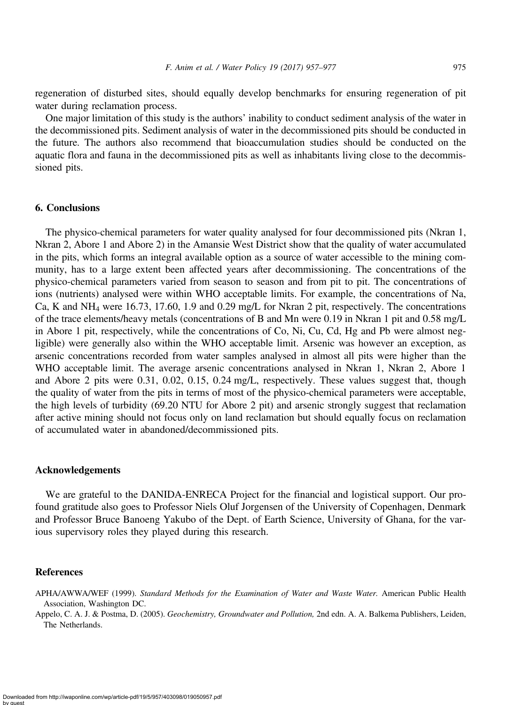<span id="page-18-0"></span>regeneration of disturbed sites, should equally develop benchmarks for ensuring regeneration of pit water during reclamation process.

One major limitation of this study is the authors' inability to conduct sediment analysis of the water in the decommissioned pits. Sediment analysis of water in the decommissioned pits should be conducted in the future. The authors also recommend that bioaccumulation studies should be conducted on the aquatic flora and fauna in the decommissioned pits as well as inhabitants living close to the decommissioned pits.

#### 6. Conclusions

The physico-chemical parameters for water quality analysed for four decommissioned pits (Nkran 1, Nkran 2, Abore 1 and Abore 2) in the Amansie West District show that the quality of water accumulated in the pits, which forms an integral available option as a source of water accessible to the mining community, has to a large extent been affected years after decommissioning. The concentrations of the physico-chemical parameters varied from season to season and from pit to pit. The concentrations of ions (nutrients) analysed were within WHO acceptable limits. For example, the concentrations of Na, Ca, K and  $NH_4$  were 16.73, 17.60, 1.9 and 0.29 mg/L for Nkran 2 pit, respectively. The concentrations of the trace elements/heavy metals (concentrations of B and Mn were 0.19 in Nkran 1 pit and 0.58 mg/L in Abore 1 pit, respectively, while the concentrations of Co, Ni, Cu, Cd, Hg and Pb were almost negligible) were generally also within the WHO acceptable limit. Arsenic was however an exception, as arsenic concentrations recorded from water samples analysed in almost all pits were higher than the WHO acceptable limit. The average arsenic concentrations analysed in Nkran 1, Nkran 2, Abore 1 and Abore 2 pits were 0.31, 0.02, 0.15, 0.24 mg/L, respectively. These values suggest that, though the quality of water from the pits in terms of most of the physico-chemical parameters were acceptable, the high levels of turbidity (69.20 NTU for Abore 2 pit) and arsenic strongly suggest that reclamation after active mining should not focus only on land reclamation but should equally focus on reclamation of accumulated water in abandoned/decommissioned pits.

#### Acknowledgements

We are grateful to the DANIDA-ENRECA Project for the financial and logistical support. Our profound gratitude also goes to Professor Niels Oluf Jorgensen of the University of Copenhagen, Denmark and Professor Bruce Banoeng Yakubo of the Dept. of Earth Science, University of Ghana, for the various supervisory roles they played during this research.

#### References

Appelo, C. A. J. & Postma, D. (2005). Geochemistry, Groundwater and Pollution, 2nd edn. A. A. Balkema Publishers, Leiden, The Netherlands.

APHA/AWWA/WEF (1999). Standard Methods for the Examination of Water and Waste Water. American Public Health Association, Washington DC.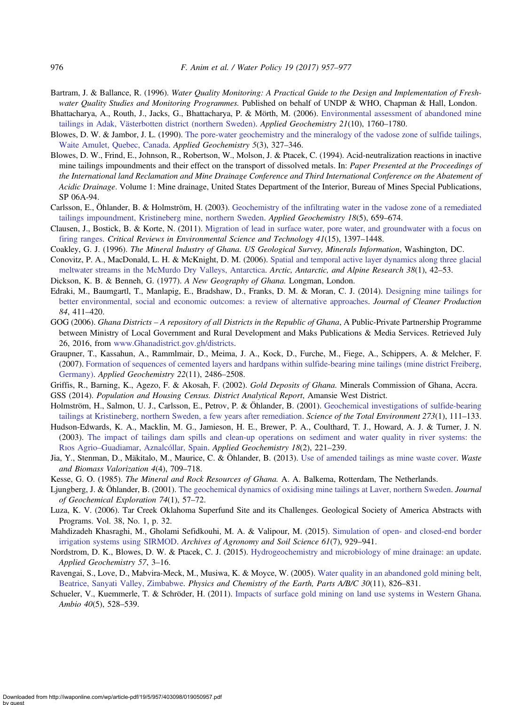- <span id="page-19-0"></span>Bartram, J. & Ballance, R. (1996). Water Quality Monitoring: A Practical Guide to the Design and Implementation of Freshwater Ouality Studies and Monitoring Programmes. Published on behalf of UNDP & WHO, Chapman & Hall, London.
- Bhattacharya, A., Routh, J., Jacks, G., Bhattacharya, P. & Mörth, M. (2006). [Environmental assessment of abandoned mine](http://dx.doi.org/10.1016/j.apgeochem.2006.06.011) [tailings in Adak, Västerbotten district \(northern Sweden\)](http://dx.doi.org/10.1016/j.apgeochem.2006.06.011). Applied Geochemistry 21(10), 1760–1780.
- Blowes, D. W. & Jambor, J. L. (1990). [The pore-water geochemistry and the mineralogy of the vadose zone of sulfide tailings,](http://dx.doi.org/10.1016/0883-2927(90)90008-S) [Waite Amulet, Quebec, Canada](http://dx.doi.org/10.1016/0883-2927(90)90008-S). Applied Geochemistry 5(3), 327–346.
- Blowes, D. W., Frind, E., Johnson, R., Robertson, W., Molson, J. & Ptacek, C. (1994). Acid-neutralization reactions in inactive mine tailings impoundments and their effect on the transport of dissolved metals. In: Paper Presented at the Proceedings of the International land Reclamation and Mine Drainage Conference and Third International Conference on the Abatement of Acidic Drainage. Volume 1: Mine drainage, United States Department of the Interior, Bureau of Mines Special Publications, SP 06A-94.
- Carlsson, E., Öhlander, B. & Holmström, H. (2003). [Geochemistry of the infiltrating water in the vadose zone of a remediated](http://dx.doi.org/10.1016/S0883-2927(02)00156-7) [tailings impoundment, Kristineberg mine, northern Sweden.](http://dx.doi.org/10.1016/S0883-2927(02)00156-7) Applied Geochemistry 18(5), 659–674.
- Clausen, J., Bostick, B. & Korte, N. (2011). [Migration of lead in surface water, pore water, and groundwater with a focus on](http://dx.doi.org/10.1080/10643381003608292) [firing ranges](http://dx.doi.org/10.1080/10643381003608292). Critical Reviews in Environmental Science and Technology 41(15), 1397–1448.
- Coakley, G. J. (1996). The Mineral Industry of Ghana. US Geological Survey, Minerals Information, Washington, DC.
- Conovitz, P. A., MacDonald, L. H. & McKnight, D. M. (2006). [Spatial and temporal active layer dynamics along three glacial](http://dx.doi.org/10.1657/1523-0430(2006)038[0042:SATALD]2.0.CO;2) [meltwater streams in the McMurdo Dry Valleys, Antarctica](http://dx.doi.org/10.1657/1523-0430(2006)038[0042:SATALD]2.0.CO;2). Arctic, Antarctic, and Alpine Research 38(1), 42–53.
- Dickson, K. B. & Benneh, G. (1977). A New Geography of Ghana. Longman, London.
- Edraki, M., Baumgartl, T., Manlapig, E., Bradshaw, D., Franks, D. M. & Moran, C. J. (2014). [Designing mine tailings for](http://dx.doi.org/10.1016/j.jclepro.2014.04.079) [better environmental, social and economic outcomes: a review of alternative approaches.](http://dx.doi.org/10.1016/j.jclepro.2014.04.079) Journal of Cleaner Production 84, 411–420.
- GOG (2006). Ghana Districts A repository of all Districts in the Republic of Ghana, A Public-Private Partnership Programme between Ministry of Local Government and Rural Development and Maks Publications & Media Services. Retrieved July 26, 2016, from [www.Ghanadistrict.gov.gh/districts](http://www.Ghanadistrict.gov.gh/districts).
- Graupner, T., Kassahun, A., Rammlmair, D., Meima, J. A., Kock, D., Furche, M., Fiege, A., Schippers, A. & Melcher, F. (2007). [Formation of sequences of cemented layers and hardpans within sulfide-bearing mine tailings \(mine district Freiberg,](http://dx.doi.org/10.1016/j.apgeochem.2007.07.002) [Germany\)](http://dx.doi.org/10.1016/j.apgeochem.2007.07.002). Applied Geochemistry 22(11), 2486–2508.
- Griffis, R., Barning, K., Agezo, F. & Akosah, F. (2002). Gold Deposits of Ghana. Minerals Commission of Ghana, Accra.
- GSS (2014). Population and Housing Census. District Analytical Report, Amansie West District.
- Holmström, H., Salmon, U. J., Carlsson, E., Petrov, P. & Öhlander, B. (2001). [Geochemical investigations of sulfide-bearing](http://dx.doi.org/10.1016/S0048-9697(00)00850-0) [tailings at Kristineberg, northern Sweden, a few years after remediation](http://dx.doi.org/10.1016/S0048-9697(00)00850-0). Science of the Total Environment 273(1), 111-133.
- Hudson-Edwards, K. A., Macklin, M. G., Jamieson, H. E., Brewer, P. A., Coulthard, T. J., Howard, A. J. & Turner, J. N. (2003). [The impact of tailings dam spills and clean-up operations on sediment and water quality in river systems: the](http://dx.doi.org/10.1016/S0883-2927(02)00122-1) Rıos Agrio–[Guadiamar, Aznalcóllar, Spain.](http://dx.doi.org/10.1016/S0883-2927(02)00122-1) Applied Geochemistry 18(2), 221–239.
- Jia, Y., Stenman, D., Mäkitalo, M., Maurice, C. & Öhlander, B. (2013). [Use of amended tailings as mine waste cover.](http://dx.doi.org/10.1007/s12649-013-9232-0) Waste and Biomass Valorization 4(4), 709–718.
- Kesse, G. O. (1985). The Mineral and Rock Resources of Ghana. A. A. Balkema, Rotterdam, The Netherlands.
- Ljungberg, J. & Öhlander, B. (2001). [The geochemical dynamics of oxidising mine tailings at Laver, northern Sweden.](http://dx.doi.org/10.1016/S0375-6742(01)00175-3) Journal of Geochemical Exploration 74(1), 57–72.
- Luza, K. V. (2006). Tar Creek Oklahoma Superfund Site and its Challenges. Geological Society of America Abstracts with Programs. Vol. 38, No. 1, p. 32.
- Mahdizadeh Khasraghi, M., Gholami Sefidkouhi, M. A. & Valipour, M. (2015). [Simulation of open- and closed-end border](http://dx.doi.org/10.1080/03650340.2014.981163) [irrigation systems using SIRMOD](http://dx.doi.org/10.1080/03650340.2014.981163). Archives of Agronomy and Soil Science 61(7), 929-941.
- Nordstrom, D. K., Blowes, D. W. & Ptacek, C. J. (2015). [Hydrogeochemistry and microbiology of mine drainage: an update](http://dx.doi.org/10.1016/j.apgeochem.2015.02.008). Applied Geochemistry 57, 3–16.
- Ravengai, S., Love, D., Mabvira-Meck, M., Musiwa, K. & Moyce, W. (2005). [Water quality in an abandoned gold mining belt,](http://dx.doi.org/10.1016/j.pce.2005.08.026) [Beatrice, Sanyati Valley, Zimbabwe](http://dx.doi.org/10.1016/j.pce.2005.08.026). *Physics and Chemistry of the Earth, Parts A/B/C 30*(11), 826–831.
- Schueler, V., Kuemmerle, T. & Schröder, H. (2011). [Impacts of surface gold mining on land use systems in Western Ghana](http://dx.doi.org/10.1007/s13280-011-0141-9). Ambio 40(5), 528–539.